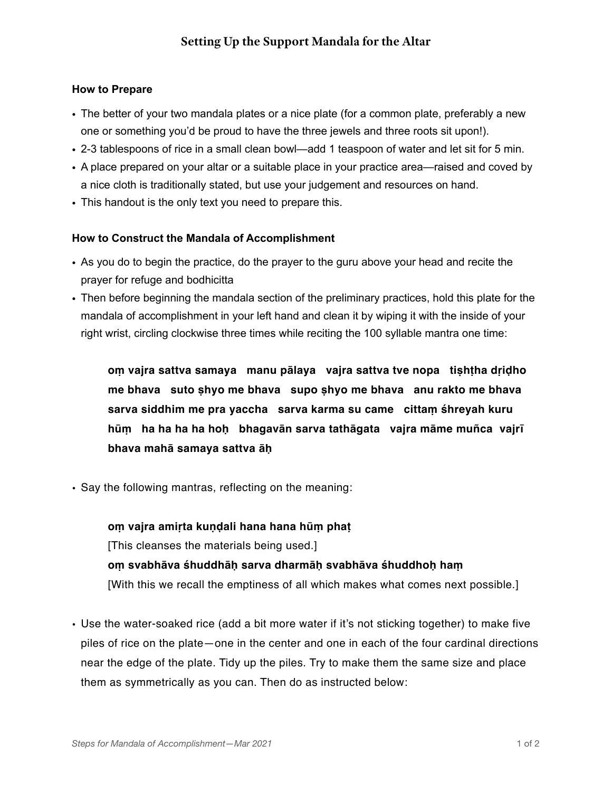## **How to Prepare**

- The better of your two mandala plates or a nice plate (for a common plate, preferably a new one or something you'd be proud to have the three jewels and three roots sit upon!).
- 2-3 tablespoons of rice in a small clean bowl—add 1 teaspoon of water and let sit for 5 min.
- A place prepared on your altar or a suitable place in your practice area—raised and coved by a nice cloth is traditionally stated, but use your judgement and resources on hand.
- This handout is the only text you need to prepare this.

## **How to Construct the Mandala of Accomplishment**

- As you do to begin the practice, do the prayer to the guru above your head and recite the prayer for refuge and bodhicitta
- Then before beginning the mandala section of the preliminary practices, hold this plate for the mandala of accomplishment in your left hand and clean it by wiping it with the inside of your right wrist, circling clockwise three times while reciting the 100 syllable mantra one time:

**oṃ vajra sattva samaya manu pālaya vajra sattva tve nopa tiṣhṭha dṛiḍho me bhava suto ṣhyo me bhava supo ṣhyo me bhava anu rakto me bhava sarva siddhim me pra yaccha sarva karma su came cittaṃ śhreyah kuru hūṃ ha ha ha ha hoḥ bhagavān sarva tathāgata vajra māme muñca vajrī bhava mahā samaya sattva āḥ** 

• Say the following mantras, reflecting on the meaning:

**oṃ vajra amiṛta kuṇḍali hana hana hūṃ phaṭ**  [This cleanses the materials being used.] **oṃ svabhāva śhuddhāḥ sarva dharmāḥ svabhāva śhuddhoḥ haṃ**  [With this we recall the emptiness of all which makes what comes next possible.]

**•** Use the water-soaked rice (add a bit more water if it's not sticking together) to make five piles of rice on the plate—one in the center and one in each of the four cardinal directions near the edge of the plate. Tidy up the piles. Try to make them the same size and place them as symmetrically as you can. Then do as instructed below: